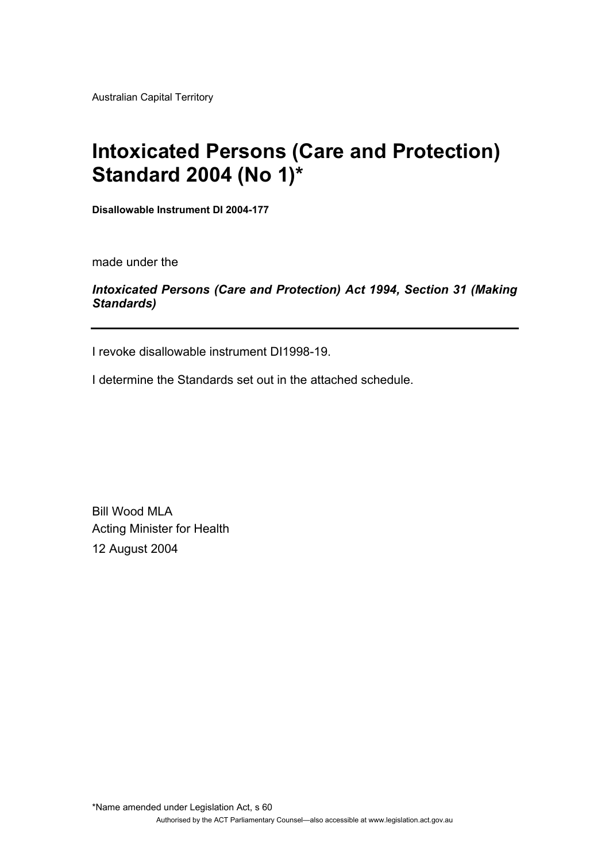Australian Capital Territory

# **Intoxicated Persons (Care and Protection) Standard 2004 (No 1)\***

**Disallowable Instrument DI 2004-177** 

made under the

# *Intoxicated Persons (Care and Protection) Act 1994, Section 31 (Making Standards)*

I revoke disallowable instrument DI1998-19.

I determine the Standards set out in the attached schedule.

Bill Wood MLA Acting Minister for Health 12 August 2004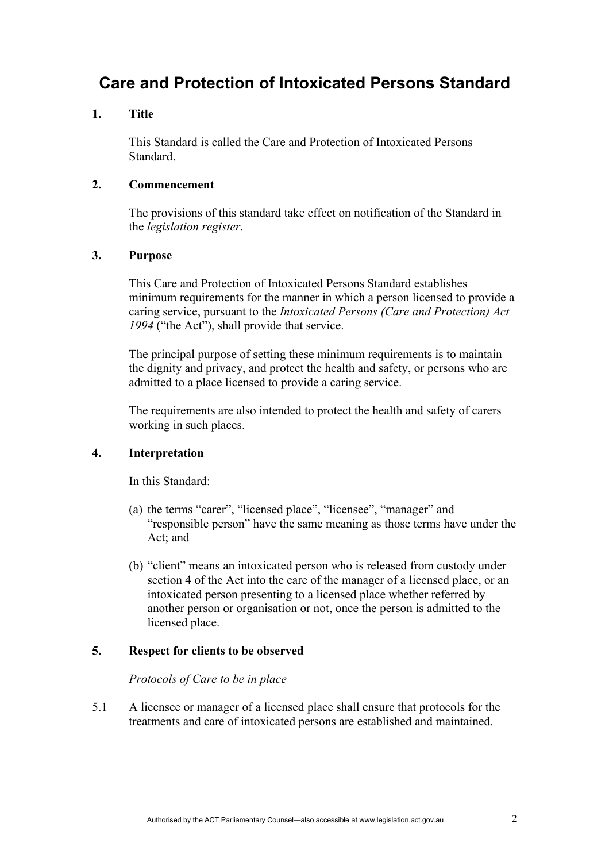# **Care and Protection of Intoxicated Persons Standard**

## **1. Title**

This Standard is called the Care and Protection of Intoxicated Persons Standard.

## **2. Commencement**

The provisions of this standard take effect on notification of the Standard in the *legislation register*.

# **3. Purpose**

This Care and Protection of Intoxicated Persons Standard establishes minimum requirements for the manner in which a person licensed to provide a caring service, pursuant to the *Intoxicated Persons (Care and Protection) Act 1994* ("the Act"), shall provide that service.

The principal purpose of setting these minimum requirements is to maintain the dignity and privacy, and protect the health and safety, or persons who are admitted to a place licensed to provide a caring service.

The requirements are also intended to protect the health and safety of carers working in such places.

# **4. Interpretation**

In this Standard:

- (a) the terms "carer", "licensed place", "licensee", "manager" and "responsible person" have the same meaning as those terms have under the Act; and
- (b) "client" means an intoxicated person who is released from custody under section 4 of the Act into the care of the manager of a licensed place, or an intoxicated person presenting to a licensed place whether referred by another person or organisation or not, once the person is admitted to the licensed place.

#### **5. Respect for clients to be observed**

#### *Protocols of Care to be in place*

5.1 A licensee or manager of a licensed place shall ensure that protocols for the treatments and care of intoxicated persons are established and maintained.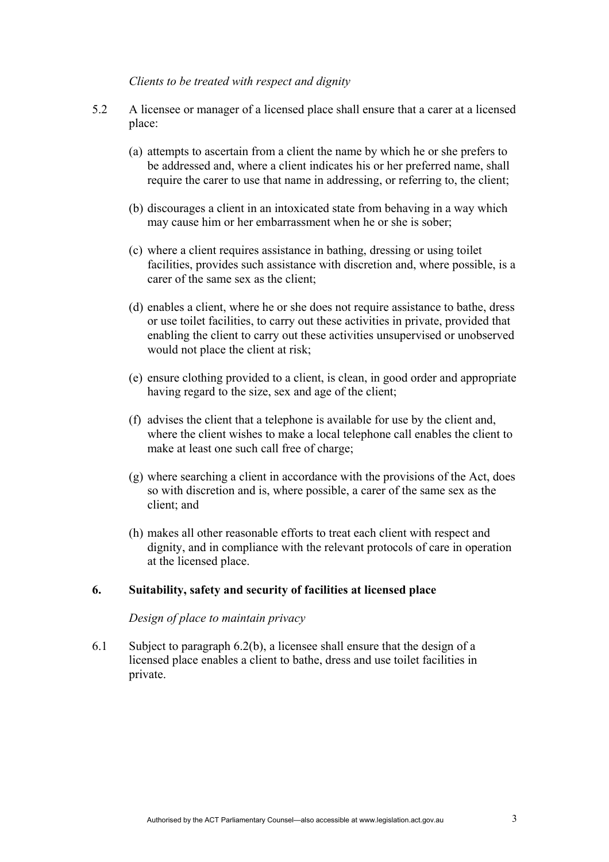#### *Clients to be treated with respect and dignity*

- 5.2 A licensee or manager of a licensed place shall ensure that a carer at a licensed place:
	- (a) attempts to ascertain from a client the name by which he or she prefers to be addressed and, where a client indicates his or her preferred name, shall require the carer to use that name in addressing, or referring to, the client;
	- (b) discourages a client in an intoxicated state from behaving in a way which may cause him or her embarrassment when he or she is sober;
	- (c) where a client requires assistance in bathing, dressing or using toilet facilities, provides such assistance with discretion and, where possible, is a carer of the same sex as the client;
	- (d) enables a client, where he or she does not require assistance to bathe, dress or use toilet facilities, to carry out these activities in private, provided that enabling the client to carry out these activities unsupervised or unobserved would not place the client at risk;
	- (e) ensure clothing provided to a client, is clean, in good order and appropriate having regard to the size, sex and age of the client;
	- (f) advises the client that a telephone is available for use by the client and, where the client wishes to make a local telephone call enables the client to make at least one such call free of charge;
	- (g) where searching a client in accordance with the provisions of the Act, does so with discretion and is, where possible, a carer of the same sex as the client; and
	- (h) makes all other reasonable efforts to treat each client with respect and dignity, and in compliance with the relevant protocols of care in operation at the licensed place.

# **6. Suitability, safety and security of facilities at licensed place**

#### *Design of place to maintain privacy*

6.1 Subject to paragraph 6.2(b), a licensee shall ensure that the design of a licensed place enables a client to bathe, dress and use toilet facilities in private.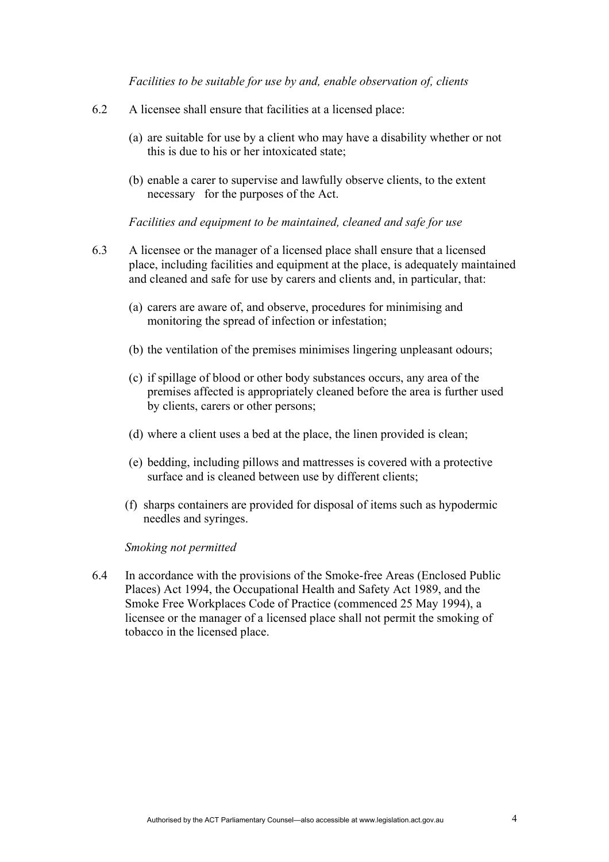*Facilities to be suitable for use by and, enable observation of, clients* 

- 6.2 A licensee shall ensure that facilities at a licensed place:
	- (a) are suitable for use by a client who may have a disability whether or not this is due to his or her intoxicated state;
	- (b) enable a carer to supervise and lawfully observe clients, to the extent necessary for the purposes of the Act.

*Facilities and equipment to be maintained, cleaned and safe for use* 

- 6.3 A licensee or the manager of a licensed place shall ensure that a licensed place, including facilities and equipment at the place, is adequately maintained and cleaned and safe for use by carers and clients and, in particular, that:
	- (a) carers are aware of, and observe, procedures for minimising and monitoring the spread of infection or infestation;
	- (b) the ventilation of the premises minimises lingering unpleasant odours;
	- (c) if spillage of blood or other body substances occurs, any area of the premises affected is appropriately cleaned before the area is further used by clients, carers or other persons;
	- (d) where a client uses a bed at the place, the linen provided is clean;
	- (e) bedding, including pillows and mattresses is covered with a protective surface and is cleaned between use by different clients;
	- (f) sharps containers are provided for disposal of items such as hypodermic needles and syringes.

#### *Smoking not permitted*

6.4 In accordance with the provisions of the Smoke-free Areas (Enclosed Public Places) Act 1994, the Occupational Health and Safety Act 1989, and the Smoke Free Workplaces Code of Practice (commenced 25 May 1994), a licensee or the manager of a licensed place shall not permit the smoking of tobacco in the licensed place.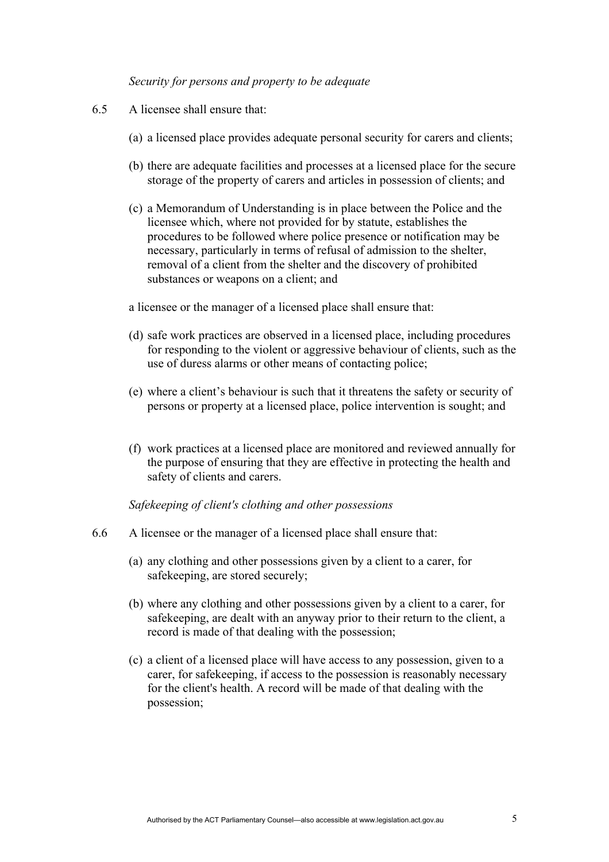#### *Security for persons and property to be adequate*

- 6.5 A licensee shall ensure that:
	- (a) a licensed place provides adequate personal security for carers and clients;
	- (b) there are adequate facilities and processes at a licensed place for the secure storage of the property of carers and articles in possession of clients; and
	- (c) a Memorandum of Understanding is in place between the Police and the licensee which, where not provided for by statute, establishes the procedures to be followed where police presence or notification may be necessary, particularly in terms of refusal of admission to the shelter, removal of a client from the shelter and the discovery of prohibited substances or weapons on a client; and

a licensee or the manager of a licensed place shall ensure that:

- (d) safe work practices are observed in a licensed place, including procedures for responding to the violent or aggressive behaviour of clients, such as the use of duress alarms or other means of contacting police;
- (e) where a client's behaviour is such that it threatens the safety or security of persons or property at a licensed place, police intervention is sought; and
- (f) work practices at a licensed place are monitored and reviewed annually for the purpose of ensuring that they are effective in protecting the health and safety of clients and carers.

## *Safekeeping of client's clothing and other possessions*

- 6.6 A licensee or the manager of a licensed place shall ensure that:
	- (a) any clothing and other possessions given by a client to a carer, for safekeeping, are stored securely;
	- (b) where any clothing and other possessions given by a client to a carer, for safekeeping, are dealt with an anyway prior to their return to the client, a record is made of that dealing with the possession;
	- (c) a client of a licensed place will have access to any possession, given to a carer, for safekeeping, if access to the possession is reasonably necessary for the client's health. A record will be made of that dealing with the possession;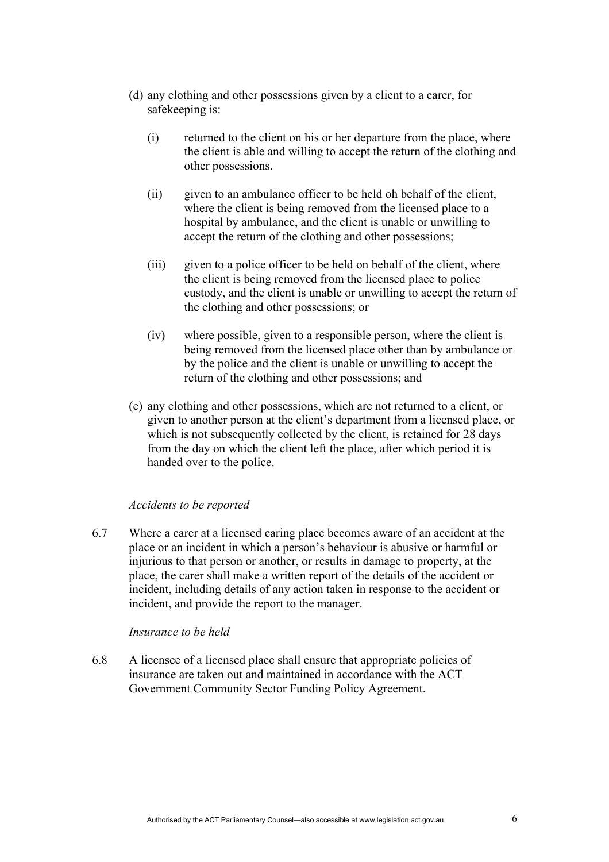- (d) any clothing and other possessions given by a client to a carer, for safekeeping is:
	- (i) returned to the client on his or her departure from the place, where the client is able and willing to accept the return of the clothing and other possessions.
	- (ii) given to an ambulance officer to be held oh behalf of the client, where the client is being removed from the licensed place to a hospital by ambulance, and the client is unable or unwilling to accept the return of the clothing and other possessions;
	- (iii) given to a police officer to be held on behalf of the client, where the client is being removed from the licensed place to police custody, and the client is unable or unwilling to accept the return of the clothing and other possessions; or
	- (iv) where possible, given to a responsible person, where the client is being removed from the licensed place other than by ambulance or by the police and the client is unable or unwilling to accept the return of the clothing and other possessions; and
- (e) any clothing and other possessions, which are not returned to a client, or given to another person at the client's department from a licensed place, or which is not subsequently collected by the client, is retained for 28 days from the day on which the client left the place, after which period it is handed over to the police.

#### *Accidents to be reported*

6.7 Where a carer at a licensed caring place becomes aware of an accident at the place or an incident in which a person's behaviour is abusive or harmful or injurious to that person or another, or results in damage to property, at the place, the carer shall make a written report of the details of the accident or incident, including details of any action taken in response to the accident or incident, and provide the report to the manager.

#### *Insurance to be held*

6.8 A licensee of a licensed place shall ensure that appropriate policies of insurance are taken out and maintained in accordance with the ACT Government Community Sector Funding Policy Agreement.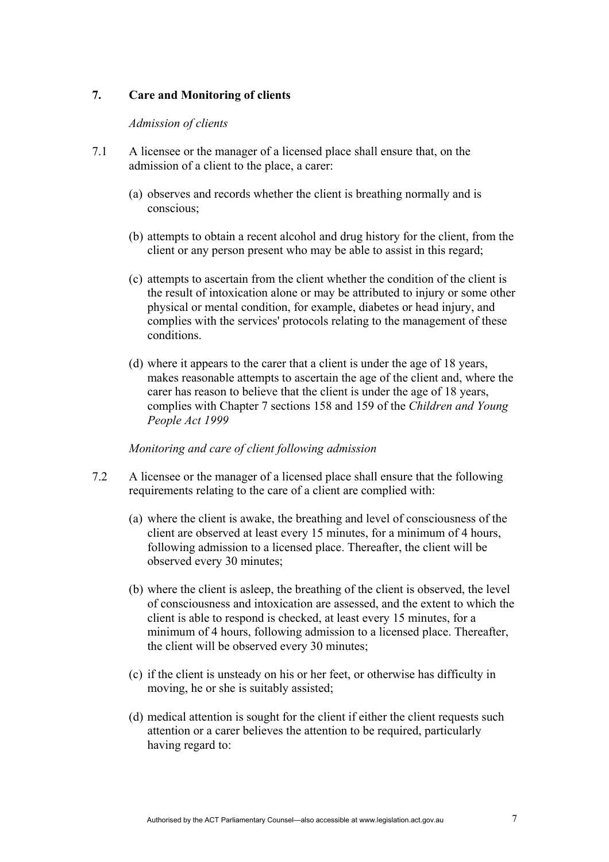# **7. Care and Monitoring of clients**

#### *Admission of clients*

- 7.1 A licensee or the manager of a licensed place shall ensure that, on the admission of a client to the place, a carer:
	- (a) observes and records whether the client is breathing normally and is conscious;
	- (b) attempts to obtain a recent alcohol and drug history for the client, from the client or any person present who may be able to assist in this regard;
	- (c) attempts to ascertain from the client whether the condition of the client is the result of intoxication alone or may be attributed to injury or some other physical or mental condition, for example, diabetes or head injury, and complies with the services' protocols relating to the management of these conditions.
	- (d) where it appears to the carer that a client is under the age of 18 years, makes reasonable attempts to ascertain the age of the client and, where the carer has reason to believe that the client is under the age of 18 years, complies with Chapter 7 sections 158 and 159 of the *Children and Young People Act 1999*

#### *Monitoring and care of client following admission*

- 7.2 A licensee or the manager of a licensed place shall ensure that the following requirements relating to the care of a client are complied with:
	- (a) where the client is awake, the breathing and level of consciousness of the client are observed at least every 15 minutes, for a minimum of 4 hours, following admission to a licensed place. Thereafter, the client will be observed every 30 minutes;
	- (b) where the client is asleep, the breathing of the client is observed, the level of consciousness and intoxication are assessed, and the extent to which the client is able to respond is checked, at least every 15 minutes, for a minimum of 4 hours, following admission to a licensed place. Thereafter, the client will be observed every 30 minutes;
	- (c) if the client is unsteady on his or her feet, or otherwise has difficulty in moving, he or she is suitably assisted;
	- (d) medical attention is sought for the client if either the client requests such attention or a carer believes the attention to be required, particularly having regard to: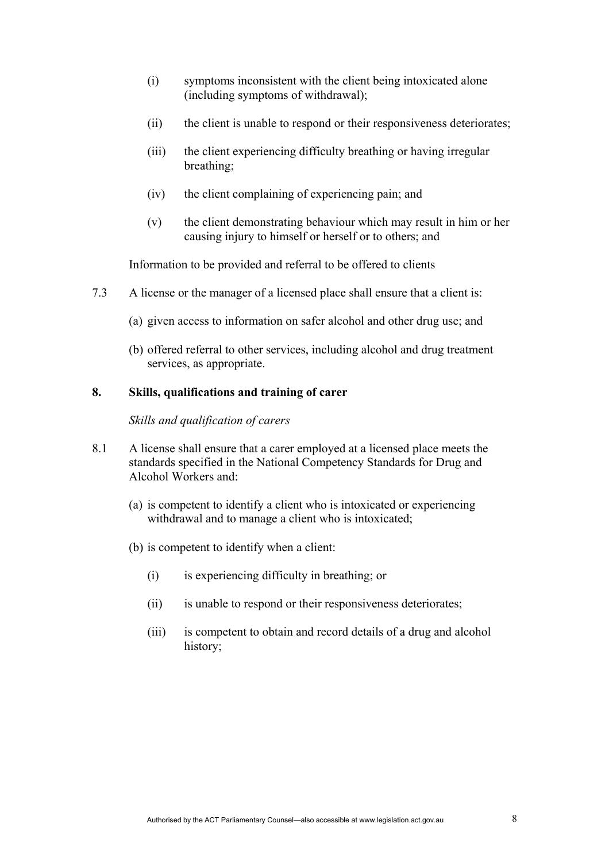- (i) symptoms inconsistent with the client being intoxicated alone (including symptoms of withdrawal);
- (ii) the client is unable to respond or their responsiveness deteriorates;
- (iii) the client experiencing difficulty breathing or having irregular breathing;
- (iv) the client complaining of experiencing pain; and
- (v) the client demonstrating behaviour which may result in him or her causing injury to himself or herself or to others; and

Information to be provided and referral to be offered to clients

- 7.3 A license or the manager of a licensed place shall ensure that a client is:
	- (a) given access to information on safer alcohol and other drug use; and
	- (b) offered referral to other services, including alcohol and drug treatment services, as appropriate.

# **8. Skills, qualifications and training of carer**

#### *Skills and qualification of carers*

- 8.1 A license shall ensure that a carer employed at a licensed place meets the standards specified in the National Competency Standards for Drug and Alcohol Workers and:
	- (a) is competent to identify a client who is intoxicated or experiencing withdrawal and to manage a client who is intoxicated;
	- (b) is competent to identify when a client:
		- (i) is experiencing difficulty in breathing; or
		- (ii) is unable to respond or their responsiveness deteriorates;
		- (iii) is competent to obtain and record details of a drug and alcohol history;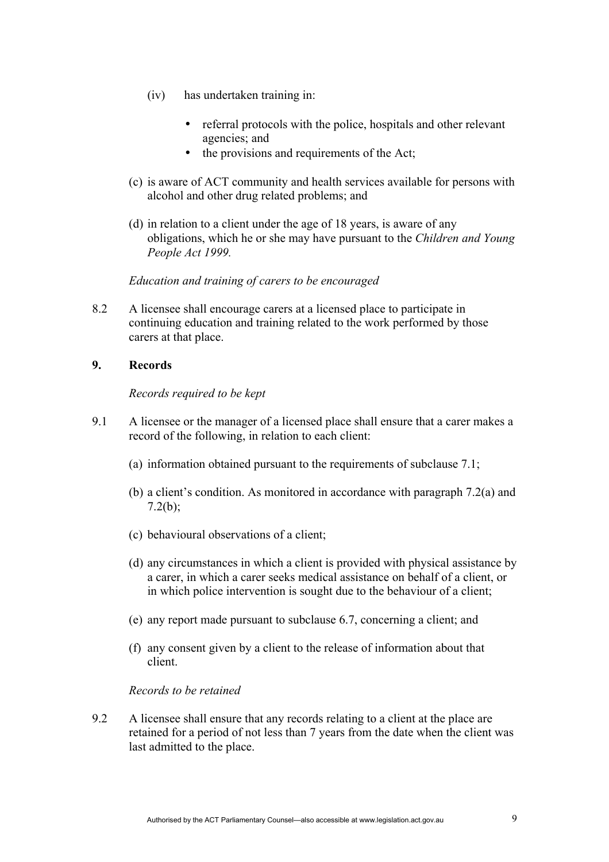- (iv) has undertaken training in:
	- referral protocols with the police, hospitals and other relevant agencies; and
	- the provisions and requirements of the Act;
- (c) is aware of ACT community and health services available for persons with alcohol and other drug related problems; and
- (d) in relation to a client under the age of 18 years, is aware of any obligations, which he or she may have pursuant to the *Children and Young People Act 1999.*

#### *Education and training of carers to be encouraged*

8.2 A licensee shall encourage carers at a licensed place to participate in continuing education and training related to the work performed by those carers at that place.

#### **9. Records**

#### *Records required to be kept*

- 9.1 A licensee or the manager of a licensed place shall ensure that a carer makes a record of the following, in relation to each client:
	- (a) information obtained pursuant to the requirements of subclause 7.1;
	- (b) a client's condition. As monitored in accordance with paragraph 7.2(a) and  $7.2(b)$ ;
	- (c) behavioural observations of a client;
	- (d) any circumstances in which a client is provided with physical assistance by a carer, in which a carer seeks medical assistance on behalf of a client, or in which police intervention is sought due to the behaviour of a client;
	- (e) any report made pursuant to subclause 6.7, concerning a client; and
	- (f) any consent given by a client to the release of information about that client.

#### *Records to be retained*

9.2 A licensee shall ensure that any records relating to a client at the place are retained for a period of not less than 7 years from the date when the client was last admitted to the place.